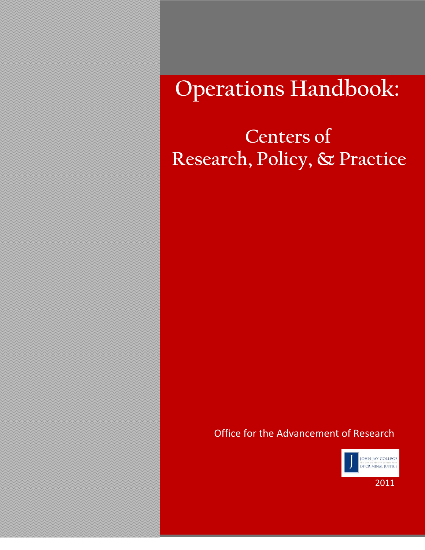# **Operations Handbook:**

10/2/20092009

# **Centers of Research, Policy, & Practice**

# Office for the Advancement of Research



2011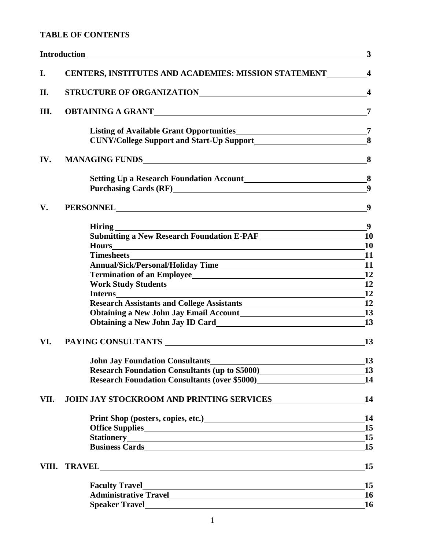# **TABLE OF CONTENTS**

|      | <b>Introduction</b><br><u> 1980 - Johann Barbara, martxa alemaniar argametra (h. 1980).</u>                                                                                                                                    | $\mathbf{3}$                           |
|------|--------------------------------------------------------------------------------------------------------------------------------------------------------------------------------------------------------------------------------|----------------------------------------|
| I.   | CENTERS, INSTITUTES AND ACADEMIES: MISSION STATEMENT 4                                                                                                                                                                         |                                        |
| П.   | STRUCTURE OF ORGANIZATIONNALLY CONTROLLER AND THE STRUCTURE OF ORGANIZATION                                                                                                                                                    | $\overline{\mathbf{4}}$                |
| III. |                                                                                                                                                                                                                                | $\overline{7}$                         |
|      | CUNY/College Support and Start-Up Support<br>8                                                                                                                                                                                 |                                        |
| IV.  |                                                                                                                                                                                                                                |                                        |
|      | Setting Up a Research Foundation Account<br>8                                                                                                                                                                                  | $\boldsymbol{9}$                       |
| V.   | PERSONNEL CONTRACTED AND RESERVE THE CONTRACTED AND RESERVE THE CONTRACTED AND RESERVE THE CONTRACTED AND RESERVE THE CONTRACTED AND RESERVE THE CONTRACTED AND RESERVE THE CONTRACTED AND RELATION OF THE CONTRACTED AND RELA | 9                                      |
|      | <b>Hiring</b><br>Submitting a New Research Foundation E-PAF<br>Notice of the Submitting a New Research Foundation E-PAF<br><b>Hours</b>                                                                                        | 9<br><b>10</b><br>10                   |
|      | <b>Timesheets</b><br><u> 1980 - Johann Barn, mars ann an t-Amhain Aonaichte ann an t-Aonaichte ann an t-Aonaichte ann an t-Aonaichte a</u>                                                                                     | <b>11</b>                              |
|      |                                                                                                                                                                                                                                | 12                                     |
|      | Interns                                                                                                                                                                                                                        | <b>12</b>                              |
|      | Obtaining a New John Jay Email Account<br>13<br>Obtaining a New John Jay ID Card<br>13                                                                                                                                         | <b>12</b>                              |
| VI.  |                                                                                                                                                                                                                                | 13                                     |
|      | John Jay Foundation Consultants<br><u>Leadenborn Consultants</u><br>Research Foundation Consultants (up to \$5000)<br><u>Examples</u> 2010 12:00:00 PM                                                                         | $\overline{\phantom{0}13}$<br>13<br>14 |
| VII. |                                                                                                                                                                                                                                | 14                                     |
|      | Print Shop (posters, copies, etc.)<br><u>Final</u>                                                                                                                                                                             | 14<br>15                               |
|      | <b>Business Cards</b>                                                                                                                                                                                                          | 15<br>15                               |
|      |                                                                                                                                                                                                                                | 15                                     |
|      | <b>Faculty Travel</b><br><u> 1989 - Johann Barn, fransk politik (f. 1989)</u>                                                                                                                                                  | 15<br>16                               |
|      | Speaker Travel <b>Executive Speaker</b> Travel                                                                                                                                                                                 | <b>16</b>                              |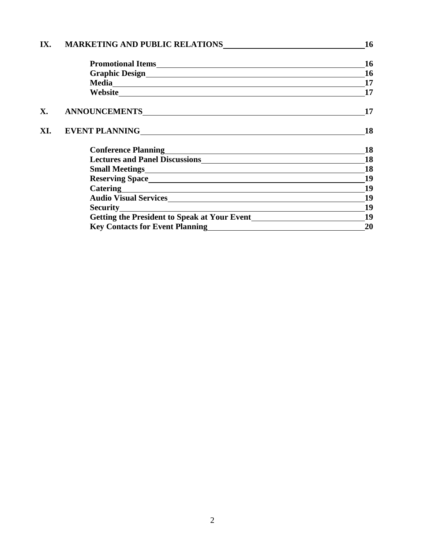| <b>16</b>                                                                                                                                                                                                                                                                                                                                                                                    |  |
|----------------------------------------------------------------------------------------------------------------------------------------------------------------------------------------------------------------------------------------------------------------------------------------------------------------------------------------------------------------------------------------------|--|
| <b>16</b>                                                                                                                                                                                                                                                                                                                                                                                    |  |
| <b>16</b>                                                                                                                                                                                                                                                                                                                                                                                    |  |
| 17                                                                                                                                                                                                                                                                                                                                                                                           |  |
| 17                                                                                                                                                                                                                                                                                                                                                                                           |  |
| 17                                                                                                                                                                                                                                                                                                                                                                                           |  |
| <b>18</b>                                                                                                                                                                                                                                                                                                                                                                                    |  |
| 18                                                                                                                                                                                                                                                                                                                                                                                           |  |
| <b>18</b>                                                                                                                                                                                                                                                                                                                                                                                    |  |
| <b>18</b>                                                                                                                                                                                                                                                                                                                                                                                    |  |
| 19                                                                                                                                                                                                                                                                                                                                                                                           |  |
| 19                                                                                                                                                                                                                                                                                                                                                                                           |  |
| 19                                                                                                                                                                                                                                                                                                                                                                                           |  |
| 19                                                                                                                                                                                                                                                                                                                                                                                           |  |
| 19                                                                                                                                                                                                                                                                                                                                                                                           |  |
| 20                                                                                                                                                                                                                                                                                                                                                                                           |  |
| Lectures and Panel Discussions<br><u>Lectures</u> and Panel Discussions<br><u>Lectures</u><br>Catering <u>and the contract of the contract of the contract of the contract of the contract of the contract of the contract of the contract of the contract of the contract of the contract of the contract of the contract of </u><br>Key Contacts for Event Planning<br><u>Example 2008</u> |  |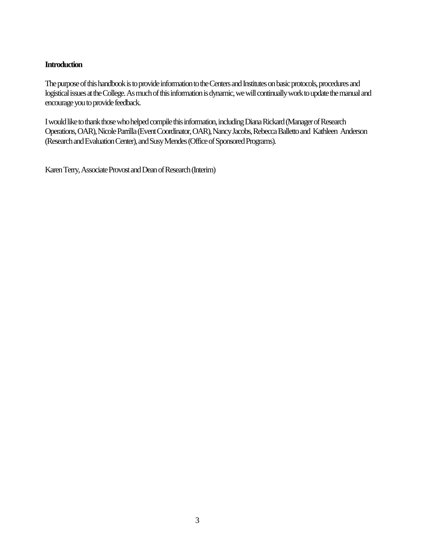#### **Introduction**

The purpose of this handbook is to provide information to the Centers and Institutes on basic protocols, procedures and logistical issues at the College. As much of this information is dynamic, we will continually work to update the manual and encourage you to provide feedback.

I would like to thank those who helped compile this information, including Diana Rickard (Manager ofResearch Operations, OAR), Nicole Parrilla (Event Coordinator, OAR), Nancy Jacobs, Rebecca Balletto and Kathleen Anderson (Research and Evaluation Center), and Susy Mendes (Office of Sponsored Programs).

Karen Terry, Associate Provost and Dean of Research (Interim)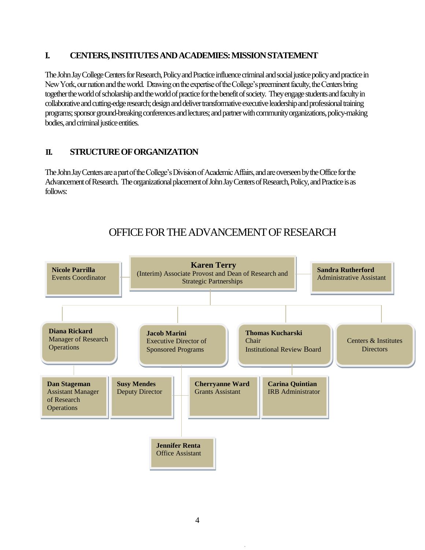# **I. CENTERS, INSTITUTES AND ACADEMIES: MISSION STATEMENT**

The John Jay College Centers for Research, Policy and Practice influence criminal and social justice policy and practice in New York, our nation and the world. Drawing on the expertise of the College's preeminent faculty, the Centers bring together the world of scholarship and the world of practice for the benefit of society. They engage students and faculty in collaborative and cutting-edge research; design and deliver transformative executive leadership and professional training programs; sponsor ground-breaking conferences and lectures; and partner with community organizations, policy-making bodies, and criminal justice entities.

# **II. STRUCTURE OF ORGANIZATION**

The John Jay Centers are a part of the College's Division of Academic Affairs, and are overseen by the Office for the Advancement of Research. The organizational placement of John Jay Centers of Research, Policy, and Practice is as follows:

# OFFICE FOR THE ADVANCEMENT OF RESEARCH

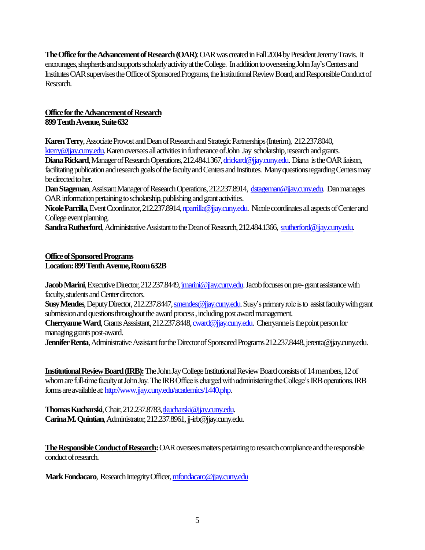**The Office for the Advancement of Research (OAR)**: OAR was created in Fall 2004 by President Jeremy Travis. It encourages, shepherds and supports scholarly activity at the College. In addition to overseeing John Jay's Centers and Institutes OARsupervises the Office of Sponsored Programs, the Institutional Review Board, and Responsible Conduct of Research.

# **Office for the Advancement of Research**

**899 Tenth Avenue, Suite 632**

**Karen Terry**, Associate Provost and Dean of Research and Strategic Partnerships (Interim), 212.237.8040, [kterry@jjay.cuny.edu.](mailto:kterry@jjay.cuny.edu) Karen oversees all activities in furtherance of John Jay scholarship, research and grants. Diana Rickard, Manager of Research Operations, 212.484.1367[, drickard@jjay.cuny.edu.](mailto:drickard@jjay.cuny.edu) Diana is the OAR liaison, facilitating publication and research goals of the faculty and Centers and Institutes. Many questions regarding Centers may be directed to her.

**Dan Stageman**, Assistant Manager of Research Operations, 212.237.8914, [dstageman@jjay.cuny.edu.](mailto:dstageman@jjay.cuny.edu) Dan manages OAR information pertaining to scholarship, publishing and grant activities.

Nicole Parrilla, Event Coordinator, 212.237.8914[, nparrilla@jjay.cuny.edu.](mailto:nparrilla@jjay.cuny.edu) Nicole coordinates all aspects of Center and College event planning.

**Sandra Rutherford**, Administrative Assistant to the Dean of Research, 212.484.1366, [srutherford@jjay.cuny.edu.](mailto:srutherford@jjay.cuny.edu)

# **Office of Sponsored Programs**

# **Location: 899 Tenth Avenue, Room 632B**

**Jacob Marini**, Executive Director, 212.237.8449, *jmarini@jjay.cuny.edu*. Jacob focuses on pre-grant assistance with faculty, students and Center directors.

**Susy Mendes**, Deputy Director, 212.237.8447[, smendes@jjay.cuny.edu.](mailto:smendes@jjay.cuny.edu) Susy's primary role is to assist faculty with grant submission and questions throughout the award process , including post award management.

**Cherryanne Ward**, Grants Asssistant, 212.237.8448[, cward@jjay.cuny.edu.](mailto:cward@jjay.cuny.edu) Cherryanne is the point person for managing grants post-award.

**Jennifer Renta**, Administrative Assistant for the Director of Sponsored Programs 212.237.8448, jerenta@jjay.cuny.edu.

**Institutional Review Board (IRB):** The John Jay College Institutional Review Board consists of 14 members, 12 of whom are full-time faculty at John Jay. The IRB Office is charged with administering the College's IRB operations. IRB forms are available at[: http://www.jjay.cuny.edu/academics/1440.php.](http://www.jjay.cuny.edu/academics/1440.php)

**Thomas Kucharski**, Chair, 212.237.8783[, tkucharski@jjay.cuny.edu.](mailto:tkucharski@jjay.cuny.edu) **Carina M. Quintian**, Administrator, 212.237.8961, jj-irb@jjay.cuny.edu.

**The Responsible Conduct of Research:** OAR oversees matters pertaining to research compliance and the responsible conduct of research.

**Mark Fondacaro**, Research Integrity Officer[, mfondacaro@jjay.cuny.edu](mailto:mfondacaro@jjay.cuny.edu)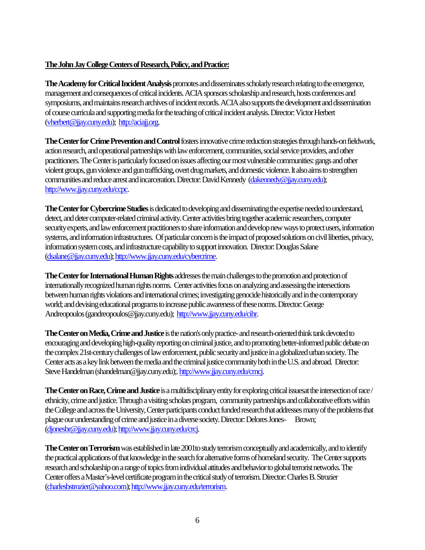# **The John Jay College Centers of Research, Policy, and Practice:**

**The Academy for Critical Incident Analysis** promotes and disseminates scholarly research relating to the emergence, management and consequences of critical incidents. ACIA sponsors scholarship and research, hosts conferences and symposiums, and maintains research archives of incident records. ACIA also supports the development and dissemination of course curricula and supporting media for the teaching of critical incident analysis.Director: Victor Herbert [\(vherbert@jjay.cuny.edu\)](mailto:vherbert@jjay.cuny.edu); [http://aciajj.org.](http://aciajj.org/)

**The Center for Crime Prevention and Control**fosters innovative crime reduction strategies through hands-onfieldwork, action research, and operational partnerships with law enforcement, communities, social service providers, and other practitioners. The Center is particularly focused on issues affecting our most vulnerable communities: gangs and other violent groups, gun violence and gun trafficking, overt drug markets, and domestic violence. It also aims to strengthen communities and reduce arrest and incarceration. Director: David Kennedy [\(dakennedy@jjay.cuny.edu\)](mailto:dakennedy@jjay.cuny.edu); [http://www.jjay.cuny.edu/ccpc.](http://www.jjay.cuny.edu/ccpc)

**The Center for Cybercrime Studies**is dedicated to developing and disseminating the expertise needed to understand, detect, and deter computer-related criminal activity. Center activities bring together academic researchers, computer security experts, and law enforcement practitioners to share information and develop new ways to protect users, information systems, and information infrastructures. Of particular concern is the impact of proposed solutions on civil liberties, privacy, information system costs, and infrastructure capability to support innovation. Director: Douglas Salane [\(dsalane@jjay.cuny.edu\)](mailto:dsalane@jjay.cuny.edu)[; http://www.jjay.cuny.edu/cybercrime.](http://www.jjay.cuny.edu/cybercrime)

**The Center for International Human Rights**addresses the main challenges to the promotion and protection of internationally recognized human rights norms. Center activities focus on analyzing and assessing the intersections between human rights violations and international crimes; investigating genocide historically and in the contemporary world; and devising educational programs to increase public awareness of these norms. Director: George Andreopoulos(gandreopoulos@jjay.cuny.edu); [http://www.jjay.cuny.edu/cihr.](http://www.jjay.cuny.edu/cihr)

**The Center on Media, Crime and Justice**is the nation's only practice-and research-oriented think tank devotedto encouraging and developing high-quality reporting on criminal justice, and to promoting better-informed public debate on the complex 21st-century challenges of law enforcement, public security and justice in a globalized urban society. The Center acts as a key link between the media and the criminal justice community both in the U.S. and abroad. Director: Steve Handelman (shandelman@jjay.cuny.edu);[. http://www.jjay.cuny.edu/cmcj.](http://www.jjay.cuny.edu/cmcj)

**The Center on Race, Crime and Justice**is a multidisciplinary entity for exploring critical issuesat the intersection of race / ethnicity, crime and justice. Through a visiting scholars program, community partnerships and collaborative efforts within the College and across the University, Center participants conduct funded research that addresses many of the problems that plague our understanding of crime and justice in a diverse society. Director: Delores Jones- Brown; [\(djonesbr@jjay.cuny.edu\)](mailto:djonesbr@jjay.cuny.edu)[; http://www.jjay.cuny.edu/crcj.](http://www.jjay.cuny.edu/crcj)

**The Center on Terrorism**was established in late 2001to study terrorism conceptually and academically, and to identify the practical applications of that knowledge in the search for alternative forms of homeland security. The Center supports research and scholarship on a range of topics from individual attitudes and behavior to global terrorist networks. The Center offers a Master's-level certificate program in the critical study of terrorism. Director: Charles B.Strozier [\(charlesbstrozier@yahoo.com\)](mailto:charlesbstrozier@yahoo.com)[; http://www.jjay.cuny.edu/terrorism.](http://www.jjay.cuny.edu/terrorism)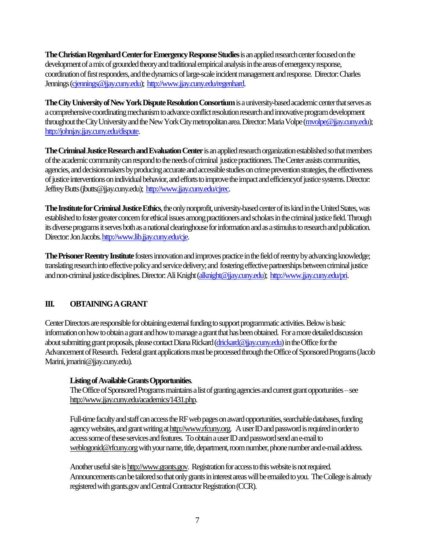**The Christian Regenhard Center for Emergency Response Studies** is an applied research center focused on the development of a mix of grounded theory and traditional empirical analysis in the areas of emergency response, coordination of first responders, and the dynamics of large-scale incident management and response. Director: Charles Jennings [\(cjennings@jjay.cuny.edu\)](mailto:cjennings@jjay.cuny.edu); [http://www.jjay.cuny.edu/regenhard.](http://www.jjay.cuny.edu/regenhard)

**The City University of NewYork Dispute Resolution Consortium**is a university-based academic center that serves as a comprehensive coordinating mechanism to advance conflict resolution research and innovative program development throughout the City University and the New York City metropolitan area. Director: Maria Volpe [\(mvolpe@jjay.cuny.edu\)](mailto:mvolpe@jjay.cuny.edu); [http://johnjay.jjay.cuny.edu/dispute.](http://johnjay.jjay.cuny.edu/dispute)

**The Criminal Justice Research and Evaluation Center**is an applied research organization established so that members of the academic community can respond to the needs of criminal justice practitioners. The Center assists communities, agencies, and decisionmakers by producing accurate and accessible studies on crime prevention strategies, the effectiveness of justice interventions on individual behavior, and efforts to improve the impact and efficiencyof justice systems. Director: Jeffrey Butts (jbutts@jjay.cuny.edu); [http://www.jjay.cuny.edu/cjrec.](http://www.jjay.cuny.edu/cjrec)

**The Institute for Criminal Justice Ethics**, the only nonprofit, university-based center of its kind in the United States, was established to foster greater concern for ethical issues among practitioners and scholars in the criminal justice field. Through its diverse programs it serves both as a national clearinghouse for information and as a stimulus to research and publication. Director: Jon Jacobs[. http://www.lib.jjay.cuny.edu/cje.](http://www.lib.jjay.cuny.edu/cje)

**The Prisoner Reentry Institute**fosters innovation and improves practice in the field of reentry by advancing knowledge; translating research into effective policy and service delivery; and fostering effective partnerships between criminal justice and non-criminal justice disciplines. Director: Ali Knight [\(alknight@jjay.cuny.edu\)](mailto:alknight@jjay.cuny.edu); [http://www.jjay.cuny.edu/pri.](http://www.jjay.cuny.edu/pri)

# **III. OBTAINING A GRANT**

Center Directors are responsible for obtaining external funding to support programmatic activities. Below isbasic information on how to obtain a grant and how to manage a grant that has been obtained. For a more detailed discussion about submitting grant proposals, please contact Diana Rickard [\(drickard@jjay.cuny.edu\)](mailto:drickard@jjay.cuny.edu) in the Office for the Advancement of Research. Federal grant applications must be processed through the Office of Sponsored Programs (Jacob Marini, jmarini@jjay.cuny.edu).

# **Listing of Available Grants Opportunities**.

The Office of Sponsored Programs maintains a list of granting agencies and current grant opportunities – see [http://www.jjay.cuny.edu/academics/1431.php.](http://www.jjay.cuny.edu/academics/1431.php)

Full-time faculty and staff can access the RF web pages on award opportunities, searchable databases, funding agency websites, and grant writing a[t http://www.rfcuny.org.](http://www.rfcuny.org/) A user ID and password is required in order to access some of these services and features. To obtain a user ID and password send an e-mail to weblogonid@rfcuny.org with your name, title, department, room number, phone number and e-mail address.

Another useful site i[s http://www.grants.gov.](http://www.grants.gov/) Registration for access to this website is not required. Announcements can be tailored so that only grants in interest areas will be emailed to you. The College is already registered with grants.gov and Central Contractor Registration (CCR).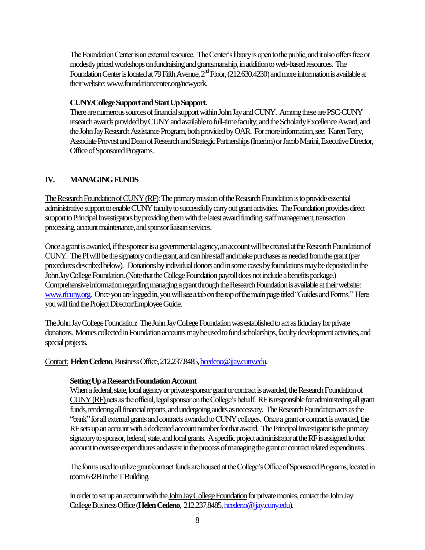The Foundation Center is an external resource. The Center's library is open to the public, and it also offers free or modestly priced workshops on fundraising and grantsmanship, in addition to web-based resources. The Foundation Center is located at 79 Fifth Avenue,  $2<sup>nd</sup>$  Floor, (212.630.4230) and more information is available at their website: www.foundationcenter.org/newyork.

#### **CUNY/College Support and Start Up Support.**

There are numerous sources of financial support within John Jay and CUNY. Among these are PSC-CUNY research awards provided by CUNY and available to full-time faculty; and the Scholarly Excellence Award, and the John Jay Research Assistance Program, both provided by OAR. For more information, see: Karen Terry, Associate Provost and Dean of Research and Strategic Partnerships (Interim)or Jacob Marini, Executive Director, Office of Sponsored Programs.

# **IV. MANAGING FUNDS**

The Research Foundation of CUNY (RF): The primary mission of the Research Foundation is to provide essential administrative support to enable CUNY faculty to successfully carry out grant activities. The Foundation provides direct support to Principal Investigators by providing them with the latest award funding, staff management, transaction processing, account maintenance, and sponsor liaison services.

Once a grant is awarded, if the sponsor is a governmental agency, an account will be created at the Research Foundation of CUNY. The PI will be the signatory on the grant, and can hire staff and make purchases as needed from the grant(per procedures described below). Donations by individual donors and in some cases by foundations may be deposited in the John Jay College Foundation. (Note that the College Foundation payroll does not include a benefits package.) Comprehensive information regarding managing a grant through the Research Foundation is available at their website: [www.rfcuny.org.](http://www.rfcuny.org/) Once you are logged in, you will see a tab on the top of the main page titled "Guides and Forms." Here you will find the Project Director/Employee Guide.

The John Jay College Foundation: The John Jay College Foundation was established to act as fiduciary for private donations. Monies collected in Foundation accounts may be used to fund scholarships, faculty development activities, and special projects.

#### Contact: **Helen Cedeno**, Business Office, 212.237.8485[, hcedeno@jjay.cuny.edu.](mailto:hcedeno@jjay.cuny.edu)

#### **Setting Up a Research Foundation Account**

When a federal, state, local agency or private sponsor grant or contract is awarded, the Research Foundation of CUNY (RF) acts as the official, legal sponsor on the College's behalf. RF is responsible for administering all grant funds, rendering all financial reports, and undergoing audits as necessary. The Research Foundation acts as the "bank" for all external grants and contracts awarded to CUNY colleges. Once a grant or contract is awarded, the RF sets up an account with a dedicated account number for that award. The Principal Investigator is the primary signatory to sponsor, federal, state, and local grants. A specific project administrator at the RF is assigned to that account to oversee expenditures and assist in the process of managing the grant or contract related expenditures.

The forms used to utilize grant/contract funds are housed at the College's Office of Sponsored Programs, located in room 632B in the T Building.

In order to set up an account with the John Jay College Foundation for private monies, contact the John Jay College Business Office(**Helen Cedeno**, 212.237.8485[, hcedeno@jjay.cuny.edu\)](mailto:hcedeno@jjay.cuny.edu).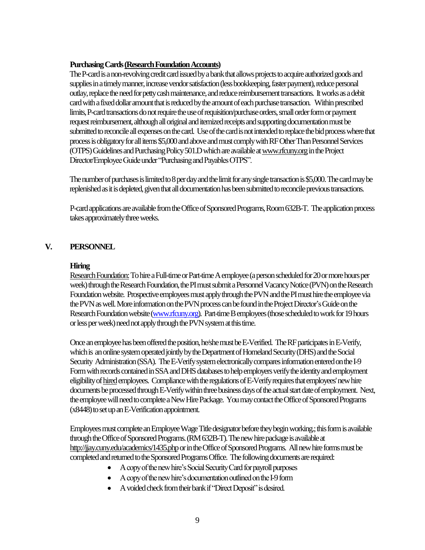#### **Purchasing Cards (Research Foundation Accounts)**

The P-card is a non-revolving credit card issued by a bank that allows projects to acquire authorized goods and supplies in a timely manner, increase vendor satisfaction (less bookkeeping, faster payment), reduce personal outlay, replace the need for petty cash maintenance, and reduce reimbursement transactions. It works as a debit card with a fixed dollar amount that is reduced by the amount of each purchase transaction. Within prescribed limits, P-card transactions do notrequire the use of requisition/purchase orders, small order form or payment request reimbursement, although all original and itemized receipts and supporting documentation must be submitted to reconcile all expenses on the card. Use of the card is not intended to replace the bid process where that process is obligatory for all items \$5,000 and above and must comply with RF Other Than Personnel Services (OTPS) Guidelines and Purchasing Policy 501.D which are available a[t www.rfcuny.orgi](http://www.rfcuny.org/)n the Project Director/Employee Guide under "Purchasing and Payables OTPS".

The number of purchases is limited to 8 per day and the limit for any single transaction is \$5,000. The card may be replenished as it is depleted, given that all documentation has been submitted to reconcile previous transactions.

P-card applications are availablefrom the Office of Sponsored Programs, Room 632B-T. The application process takes approximately three weeks.

# **V. PERSONNEL**

#### **Hiring**

Research Foundation:To hire a Full-time or Part-time A employee(a person scheduled for 20 or more hours per week) through the Research Foundation, the PI must submit a Personnel Vacancy Notice (PVN) on the Research Foundation website. Prospective employees must apply through the PVN and the PI must hire the employee via the PVN as well. More information on the PVN process can be found in the Project Director's Guide on the Research Foundation website [\(www.rfcuny.org\)](http://www.rfcuny.org/). Part-time B employees (those scheduled to work for 19 hours or less per week) need not apply through the PVN system at this time.

Onceanemployee has been offered the position, he/she must be E-Verified. The RF participates in E-Verify, which is an online system operated jointly by the Department of Homeland Security (DHS) and the Social Security Administration (SSA). The E-Verify system electronically compares information entered on the I-9 Form with records contained in SSA and DHS databases to help employers verify the identity and employment eligibility of hiredemployees. Compliance with the regulations of E-Verify requires that employees' new hire documents be processed through E-Verify within three business days of the actual start date of employment. Next, the employee will need to complete a New Hire Package. You may contact the Office of Sponsored Programs (x8448) to set up an E-Verification appointment.

Employees must complete an Employee Wage Title designator before they begin working.; this form is available through the Office of Sponsored Programs. (RM 632B-T). The new hire package is available at [http://jjay.cuny.edu/academics/1435.phpo](http://jjay.cuny.edu/academics/1435.php)rin the Office of Sponsored Programs. All new hire forms must be completed and returned to the Sponsored Programs Office. The following documents are required:

- A copy of the new hire's Social Security Card for payroll purposes
- A copy of the new hire's documentation outlined on the I-9 form
- A voided check from their bank if "Direct Deposit" is desired.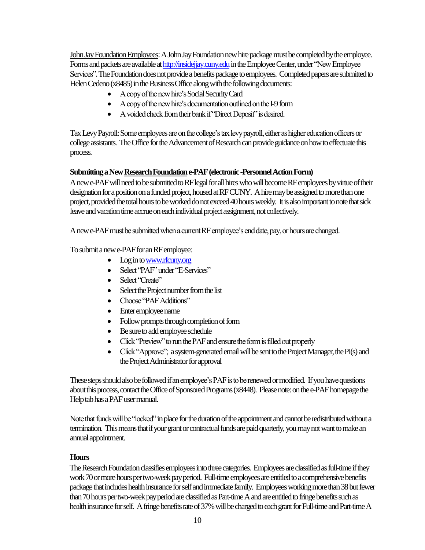John Jay Foundation Employees: A John Jay Foundation new hire package must be completed by the employee. Forms and packets are available at http://insidejjay.cuny.edu in the Employee Center, under "New Employee" Services". The Foundation does not provide a benefits package to employees. Completed papers are submitted to Helen Cedeno (x8485) in the Business Office along with the following documents:

- A copy of the new hire'sSocial Security Card
- A copy of the new hire's documentation outlined on the I-9 form
- A voided check from their bank if "Direct Deposit" is desired.

Tax Levy Payroll: Some employees are on the college's tax levy payroll, either as higher education officers or college assistants. The Office for the Advancement of Research can provide guidance on how to effectuate this process.

# **Submitting a New Research Foundation e-PAF (electronic -Personnel Action Form)**

A new e-PAF will need to be submitted to RF legal for all hires who will become RF employees by virtue of their designation for a position on a funded project, housed at RFCUNY. A hire may be assigned to more than one project, provided the total hours to be worked do not exceed 40hours weekly. It is also important to note that sick leave and vacation time accrue on each individual project assignment, not collectively.

A new e-PAF must be submitted when a current RF employee's end date, pay, or hours are changed.

To submit a new e-PAF for an RF employee:

- Log in t[o www.rfcuny.org](http://www.rfcuny.org/)
- Select "PAF" under "E-Services"
- Select "Create"
- Select the Project number from the list
- Choose "PAF Additions"
- Enter employee name
- Follow prompts through completion of form
- Be sure to add employee schedule
- Click "Preview" to run the PAF and ensure the form is filled out properly
- Click "Approve"; a system-generated email will be sent to the Project Manager, the PI(s) and the Project Administrator for approval

These steps should also be followed if an employee's PAF is to be renewed or modified. If you have questions about this process, contact the Office of Sponsored Programs(x8448). Please note: on the e-PAF homepage the Help tab has a PAF user manual.

Note that funds will be "locked"in place for the duration of the appointment and cannot be redistributed without a termination. This means that if your grant or contractual funds are paid quarterly, you may not want to make an annual appointment.

#### **Hours**

The Research Foundation classifies employees into three categories. Employees are classified as full-time if they work 70 or more hours per two-week pay period. Full-time employees are entitled to a comprehensive benefits package that includes health insurance for self and immediate family. Employees working more than 38 but fewer than 70 hours per two-week pay period are classified as Part-time A and are entitled to fringe benefits such as health insurance for self. A fringe benefits rate of 37% will be charged to each grant for Full-time and Part-time A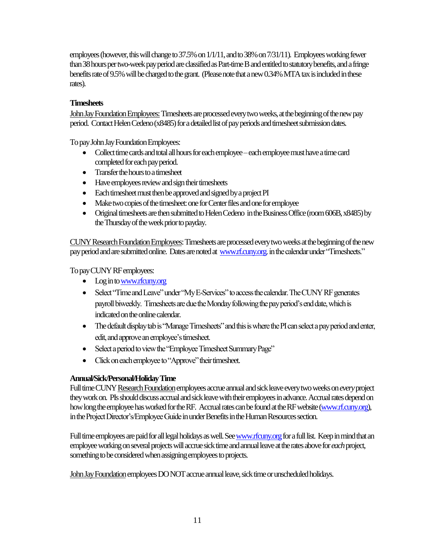employees(however, this will change to 37.5% on 1/1/11, and to 38% on 7/31/11). Employees working fewer than 38 hours per two-week pay period are classified as Part-time B and entitled to statutory benefits, and afringe benefits rate of 9.5% will be charged to thegrant. (Please note that a new 0.34% MTA tax is included in these rates).

# **Timesheets**

John Jay Foundation Employees: Timesheets are processed every two weeks, at the beginning of the new pay period. Contact Helen Cedeno (x8485) for a detailed list of pay periods and timesheet submission dates.

To pay John Jay Foundation Employees:

- Collect time cards and total all hours for each employee –each employee must have a time card completed for each pay period.
- Transfer the hours to a timesheet
- Have employees review and sign their timesheets
- Each timesheet must then be approved and signed by a project PI
- Make two copies of the timesheet: one for Center files and one for employee
- Original timesheets are then submitted to Helen Cedeno in the Business Office (room 606B, x8485) by the Thursday of the week prior to payday.

CUNY Research Foundation Employees: Timesheets are processed every twoweeks at the beginning of the new pay period and are submitted online. Dates are noted at [www.rf.cuny.org.](http://www.rf.cuny.org/) in the calendar under "Timesheets."

To pay CUNY RF employees:

- Log in t[o www.rfcuny.org](http://www.rfcuny.org/)
- Select "Time and Leave" under "My E-Services" to access the calendar. The CUNY RF generates payroll biweekly. Timesheets are due the Monday following the pay period's end date, which is indicated on the online calendar.
- The default display tab is "Manage Timesheets" and this is where the PI can select a pay period and enter, edit, and approve an employee's timesheet.
- Select a period to view the "Employee Timesheet Summary Page"
- Click on each employee to "Approve" their timesheet.

# **Annual/Sick/Personal/Holiday Time**

Full time CUNY Research Foundation employees accrue annual and sick leave every two weeks on *every* project they work on. PIs should discuss accrual and sick leave with their employees in advance. Accrual rates depend on how long the employee has worked for the RF. Accrual rates can be found at the RF website [\(www.rf.cuny.org\)](http://www.rf.cuny.org/), in the Project Director's/Employee Guide in under Benefits in the Human Resources section.

Full time employees are paid for all legal holidays as well. Se[e www.rfcuny.orgf](http://www.rfcuny.org/)or a full list. Keep in mind that an employee working on several projects will accrue sick time and annual leave at the rates above for *each* project, something to be considered when assigning employees to projects.

John Jay Foundationemployees DO NOT accrue annual leave, sick time or unscheduled holidays.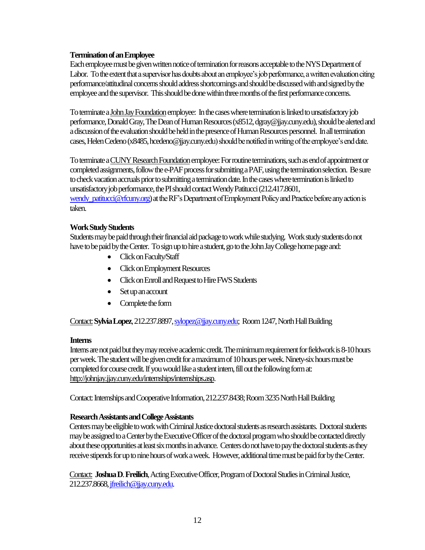#### **Termination of an Employee**

Each employee must be given written notice of termination for reasons acceptable to the NYS Department of Labor. To the extent that a supervisor has doubts about an employee's job performance, a written evaluation citing performance/attitudinal concerns should address shortcomings and should be discussed with and signed by the employee and the supervisor. This should be done within three months of the first performance concerns.

To terminate a John Jay Foundationemployee: In the cases where terminationis linked to unsatisfactory job performance, Donald Gray, The Dean of Human Resources (x8512, dgray@jjay.cuny.edu), should be alerted and a discussion of the evaluation should be held in the presence of Human Resources personnel. In all termination cases, Helen Cedeno (x8485, hcedeno@jjay.cuny.edu) should be notified in writing of the employee's end date.

To terminate a CUNY Research Foundation employee: For routine terminations, such as end of appointment or completed assignments, follow the e-PAF process for submitting a PAF, using the termination selection. Be sure to check vacation accruals prior to submitting a termination date. In the cases where termination is linked to unsatisfactory job performance, the PI should contact Wendy Patitucci (212.417.8601,

[wendy\\_patitucci@rfcuny.org\)](mailto:wendy_patitucci@rfcuny.org) at the RF's Department of Employment Policy and Practice before any action is taken.

#### **Work Study Students**

Students may be paid through their financial aid package to work while studying. Work study students do not have to be paid by the Center. To sign up to hire a student, go to the John Jay College home page and:

- Click on Faculty/Staff
- Click on Employment Resources
- Click on Enroll and Request to Hire FWS Students
- Set up an account
- Complete the form

Contact:**Sylvia Lopez**, 212.237.8897[, sylopez@jjay.cuny.edu;](mailto:sylopez@jjay.cuny.edu) Room 1247, North Hall Building

#### **Interns**

Interns are not paid but they may receive academic credit. The minimum requirement for fieldwork is 8-10hours per week. The student will be given credit for a maximum of 10 hours per week. Ninety-sixhours must be completed for course credit. If you would like a student intern, fill out the following form at: [http://johnjay.jjay.cuny.edu/internships/internships.asp.](http://johnjay.jjay.cuny.edu/internships/internships.asp)

Contact: Internships and Cooperative Information, 212.237.8438; Room3235North Hall Building

#### **Research Assistants and College Assistants**

Centers may be eligible to work with Criminal Justice doctoral students as research assistants. Doctoral students may be assigned to a Center by the Executive Officer of the doctoral programwho should be contacted directly about these opportunities at least six months in advance. Centers do not have to pay the doctoral students as they receive stipends for up to nine hours of work a week. However, additional time must be paid for bythe Center.

Contact: **Joshua D**. **Freilich**, Acting Executive Officer, Program of Doctoral Studies in Criminal Justice, 212.237.8668[, jfreilich@jjay.cuny.edu.](mailto:jfreilich@jjay.cuny.edu)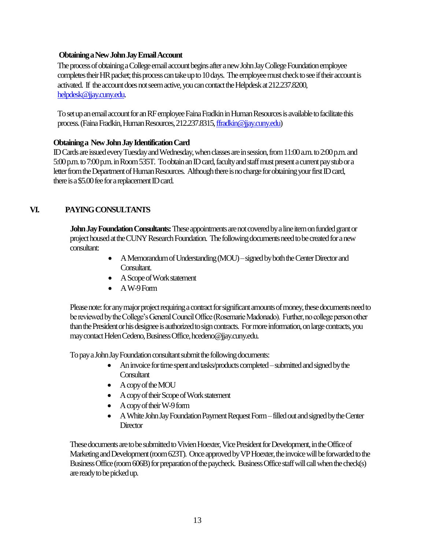#### **Obtaining aNewJohn Jay Email Account**

The process of obtaining a College email account begins after a new John Jay College Foundation employee completes their HR packet; this process can take up to 10 days. The employee must check to see if their account is activated. If the account does not seem active, you can contact the Helpdesk at 212.237.8200, [helpdesk@jjay.cuny.edu.](mailto:helpdesk@jjay.cuny.edu)

To set up an email account for an RF employee Faina Fradkin in Human Resources is available to facilitate this process. (FainaFradkin, Human Resources, 212.237.8315[, ffradkin@jjay.cuny.edu\)](mailto:ffradkin@jjay.cuny.edu)

#### **Obtaining a New John Jay Identification Card**

ID Cards are issued every Tuesday and Wednesday, when classes are in session, from 11:00 a.m. to 2:00 p.m. and 5:00 p.m. to 7:00 p.m. in Room 535T. To obtain an ID card, faculty and staff must present a current pay stub or a letter from the Department of Human Resources. Although there is no charge for obtaining your first ID card, there is a \$5.00 fee for a replacement ID card.

# **VI. PAYING CONSULTANTS**

**John Jay Foundation Consultants:**These appointments are not covered by a line item on funded grant or project housed at the CUNY Research Foundation. The following documents need to be created for a new consultant:

- A Memorandum of Understanding (MOU) signed by both the Center Director and Consultant.
- A Scope of Work statement
- A W-9 Form

 Please note: for any major project requiring a contract for significant amounts of money, these documents need to be reviewed by the College's General Council Office (Rosemarie Madonado). Further, no college person other than the President or his designee is authorized to sign contracts. For more information, on large contracts, you may contact Helen Cedeno, Business Office, hcedeno@jjay.cuny.edu.

To pay a John Jay Foundation consultant submit the following documents:

- An invoice for time spent and tasks/products completed submitted and signed by the **Consultant**
- A copy of the MOU
- A copy of their Scope of Work statement
- A copy of their W-9 form
- A White John Jay Foundation Payment Request Form –filled out and signed by the Center **Director**

These documents are to be submitted to Vivien Hoexter, Vice President for Development, in the Office of Marketing and Development(room 623T). Once approved by VP Hoexter, the invoice will be forwarded to the Business Office (room 606B) for preparation of the paycheck. Business Office staff will call when the check(s) are ready to be picked up.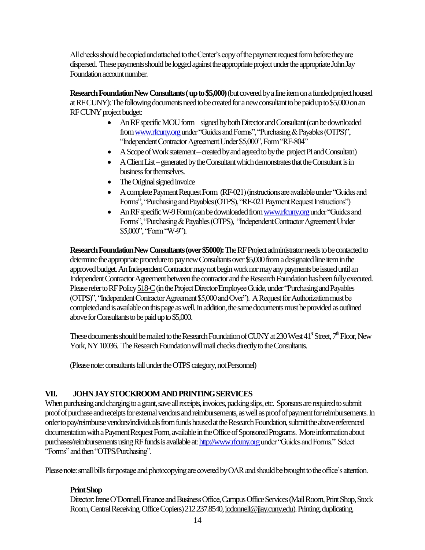All checks should be copied and attached to the Center's copy of the payment request form before they are dispersed. These payments should be logged against the appropriate project under the appropriate John Jay Foundation account number.

**Research Foundation New Consultants (up to \$5,000)**(but covered by a line item on a funded project housed at RF CUNY): The following documents need to be created for a new consultant to be paid up to \$5,000 on an RF CUNY project budget:

- An RF specific MOU form signed by both Director and Consultant (can be downloaded from www.rfcuny.org under "Guides and Forms", "Purchasing & Payables (OTPS)", "Independent Contractor Agreement Under \$5,000", Form "RF-804"
- A Scope of Work statement created by and agreed to by the project PI and Consultatn)
- A Client List generated by the Consultant which demonstrates that the Consultant is in business for themselves.
- The Original signed invoice
- A complete Payment Request Form (RF-021) (instructions are available under "Guides and Forms", "Purchasing and Payables (OTPS), "RF-021 Payment Request Instructions")
- An RF specific W-9 Form (can be downloaded fro[m www.rfcuny.org](http://www.rfcuny.org/) under "Guides and Forms", "Purchasing & Payables (OTPS), "Independent Contractor Agreement Under \$5,000", "Form "W-9").

**Research Foundation New Consultants (over \$5000):**The RF Project administrator needs to be contacted to determine the appropriate procedure to pay new Consultants over \$5,000 from a designated line item in the approved budget. An Independent Contractor may not begin work nor may any payments be issued until an Independent Contractor Agreement between the contractor and the Research Foundation has been fully executed. Please refer to RF Policy 518-C (in the Project Director/Employee Guide, under "Purchasing and Payables" (OTPS)", "Independent Contractor Agreement \$5,000 and Over"). A Request for Authorization must be completed and is available on this page as well. In addition, the same documents must be provided as outlined above for Consultants to be paid up to \$5,000.

These documents should be mailed to the Research Foundation of CUNY at 230 West 41<sup>st</sup> Street,  $7^{\text{th}}$  Floor, New York, NY 10036. The Research Foundation will mail checks directly to the Consultants.

(Please note: consultants fall under the OTPS category, not Personnel)

# **VII. JOHN JAY STOCKROOM AND PRINTING SERVICES**

When purchasing and charging to a grant, save all receipts, invoices, packing slips, etc. Sponsors are required to submit proof of purchase and receipts for external vendors and reimbursements, as well as proof of payment for reimbursements. In order to pay/reimburse vendors/individuals from funds housed at the Research Foundation, submit the above referenced documentation with a Payment Request Form, available in the Office of Sponsored Programs. More information about purchases/reimbursements using RF funds is available at: http://www.rfcuny.orgunder "Guides and Forms." Select "Forms" and then "OTPS/Purchasing".

Please note: small bills for postage and photocopying are covered by OAR and should be brought to the office's attention.

# **Print Shop**

Director: Irene O'Donnell, Finance and Business Office, Campus Office Services(Mail Room, Print Shop, Stock Room, Central Receiving, Office Copiers)212.237.8540[, iodonnell@jjay.cuny.edu\)](mailto:iodonnell@jjay.cuny.edu). Printing, duplicating,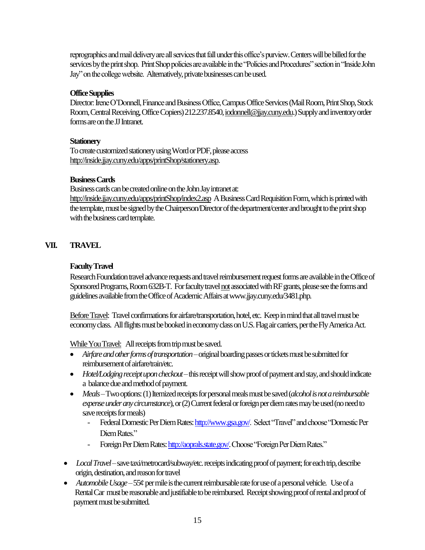reprographics and mail delivery are all services that fall under this office's purview. Centers will be billed for the services by the print shop. Print Shop policies are available in the "Policies and Procedures" section in "Inside John Jay" on the college website. Alternatively, private businesses can be used.

# **Office Supplies**

Director: Irene O'Donnell, Finance and Business Office, Campus Office Services(Mail Room, Print Shop,Stock Room, Central Receiving, Office Copiers)212.237.8540[, iodonnell@jjay.cuny.edu.](mailto:iodonnell@jjay.cuny.edu))Supply and inventory order forms are on the JJ Intranet.

#### **Stationery**

To create customized stationery using Word or PDF, please access [http://inside.jjay.cuny.edu/apps/printShop/stationery.asp.](http://inside.jjay.cuny.edu/apps/printShop/stationery.asp)

#### **Business Cards**

Business cards can be created online on the John Jay intranet at: <http://inside.jjay.cuny.edu/apps/printShop/index2.asp>A Business Card Requisition Form, which is printed with the template, must be signed by the Chairperson/Director of the department/center and brought to the print shop with the business card template.

# **VII. TRAVEL**

# **Faculty Travel**

Research Foundation travel advance requests and travel reimbursement request forms are available in the Office of Sponsored Programs, Room 632B-T. For faculty travel not associated with RF grants, please see the forms and guidelines available from the Office of Academic Affairs atwww.jjay.cuny.edu/3481.php.

Before Travel: Travel confirmations for airfare/transportation, hotel, etc. Keep in mind that all travel must be economy class. All flights must be booked in economy class on U.S. Flag air carriers, per the Fly America Act.

While You Travel: All receipts from trip must be saved.

- *Airfare and other forms of transportation*–original boarding passes or tickets must be submitted for reimbursement of airfare/train/etc.
- *Hotel/Lodging receipt upon checkout*–this receipt will show proof of payment and stay, and should indicate a balance due and method of payment.
- *Meals*–Two options: (1) Itemized receipts for personal meals must be saved (*alcohol is not a reimbursable expense under any circumstance*), or (2) Current federal or foreign per diem rates may be used (no need to save receipts for meals)
	- Federal Domestic Per Diem Rates[: http://www.gsa.gov/.](http://www.gsa.gov/) Select "Travel" and choose "Domestic Per Diem Rates."
	- Foreign Per Diem Rates[: http://aoprals.state.gov/.](http://aoprals.state.gov/) Choose "Foreign Per Diem Rates."
- *Local Travel*–save taxi/metrocard/subway/etc. receipts indicating proof of payment; for each trip, describe origin, destination, and reason for travel
- *Automobile Usage*–55¢ per mile is the current reimbursable rate for use of a personal vehicle. Use of a Rental Car must be reasonable and justifiable to be reimbursed. Receipt showing proof ofrental and proof of payment must be submitted.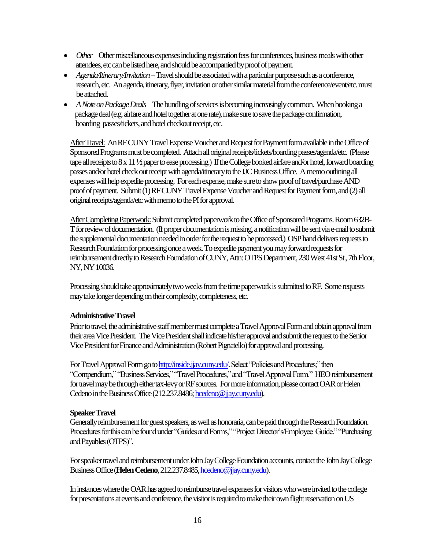- Other–Other miscellaneous expenses including registration fees for conferences, business meals with other attendees, etc can be listed here, and should be accompanied by proof of payment.
- *Agenda/Itinerary/Invitation*–Travel should be associated with a particular purpose such as aconference, research, etc. An agenda, itinerary, flyer, invitation or other similar material from the conference/event/etc. must be attached.
- *A Note on Package Deals*–The bundling of services is becomingincreasingly common. When booking a package deal (e.g. airfare and hotel together at one rate), make sure to save thepackage confirmation, boarding passes/tickets, and hotel checkout receipt, etc.

After Travel: An RFCUNY Travel Expense Voucher and Request for Payment form available in the Office of Sponsored Programs must be completed. Attach all original receipts/tickets/boarding passes/agenda/etc. (Please tape all receipts to 8 x 11 ½ paper to ease processing.) If the College booked airfare and/or hotel, forward boarding passes and/or hotel check out receipt with agenda/itinerary to the JJC Business Office. A memo outlining all expenses will help expedite processing. For each expense, make sure to show proof of travel/purchase AND proof of payment. Submit (1) RF CUNY Travel Expense Voucher and Request for Payment form, and (2) all original receipts/agenda/etc with memo to the PI for approval.

After Completing Paperwork:Submit completed paperwork to the Office of Sponsored Programs. Room 632B-T for review of documentation. (If proper documentation is missing, a notification will be sent via e-mail to submit the supplemental documentation needed in order for the request to be processed.) OSP hand delivers requests to Research Foundation for processing once a week. To expedite payment you mayforward requests for reimbursement directly to Research Foundation of CUNY, Attn: OTPS Department, 230 West 41st St., 7th Floor, NY, NY 10036.

Processing should take approximately two weeks from the time paperwork is submitted to RF. Some requests may take longer depending on their complexity, completeness, etc.

#### **Administrative Travel**

Prior to travel, the administrative staff member must complete a Travel Approval Form and obtain approval from their area Vice President. The Vice President shall indicate his/her approval and submit the request to the Senior Vice President for Finance and Administration (Robert Pignatello) for approval and processing.

For Travel Approval Form go t[o http://inside.jjay.cuny.edu/.](http://inside.jjay.cuny.edu/)Select "Policies and Procedures;" then "Compendium," "Business Services," "Travel Procedures," and "Travel Approval Form." HEO reimbursement for travel may be through either tax-levy or RF sources. For more information, please contact OAR or Helen Cedeno in the Business Office (212.237.8486[; hcedeno@jjay.cuny.edu\)](mailto:hcedeno@jjay.cuny.edu).

#### **Speaker Travel**

Generally reimbursement for guest speakers, as well as honoraria, can be paid through the Research Foundation. Procedures for this can be found under "Guides and Forms," "Project Director's/Employee Guide." "Purchasing and Payables (OTPS)".

For speaker travel and reimbursement under John Jay College Foundation accounts, contact the John Jay College Business Office (**Helen Cedeno**, 212.237.8485[, hcedeno@jjay.cuny.edu\)](mailto:hcedeno@jjay.cuny.edu).

In instances where the OAR has agreed to reimburse travel expenses for visitors who were invited to the college for presentations at events and conference, the visitor is required to make their own flight reservation on US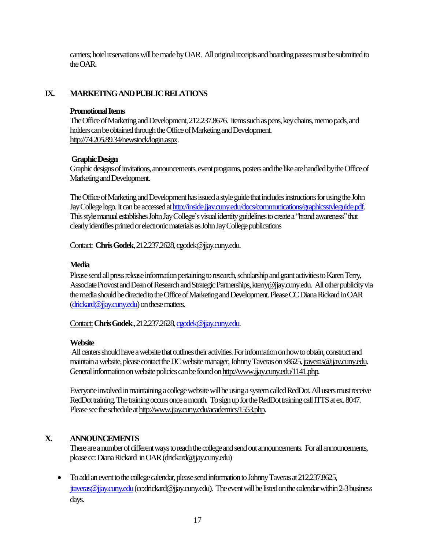carriers; hotel reservations will be made by OAR. All original receipts and boarding passes must be submitted to the OAR.

# **IX. MARKETING AND PUBLIC RELATIONS**

#### **Promotional Items**

The Office of Marketing and Development, 212.237.8676. Items such as pens, key chains, memo pads, and holders can be obtained through the Office of Marketing and Development. [http://74.205.89.34/newstock/login.aspx.](http://74.205.89.34/newstock/login.aspx)

# **Graphic Design**

Graphic designs of invitations, announcements, event programs, posters and the like are handled by the Office of Marketing and Development.

 The Office of Marketing and Development has issued a style guide that includes instructions for using the John Jay College logo. It can be accessed a[t http://inside.jjay.cuny.edu/docs/communications/graphicsstyleguide.pdf.](http://inside.jjay.cuny.edu/docs/communications/graphicsstyleguide.pdf)  This style manual establishes John Jay College's visual identity guidelines to create a "brand awareness" that clearly identifies printed or electronic materials as John Jay College publications

Contact: **Chris Godek**,212.237.2628[, cgodek@jjay.cuny.edu.](mailto:cgodek@jjay.cuny.edu)

# **Media**

Please send all press release information pertaining to research, scholarship and grant activities to Karen Terry, Associate Provost and Dean of Research and Strategic Partnerships, kterry@jjay.cuny.edu. All other publicityvia the media should be directed to the Office of Marketing and Development. Please CC Diana Rickard in OAR [\(drickard@jjay.cuny.edu\)](mailto:drickard@jjay.cuny.edu) on these matters.

Contact:**Chris Godek**., 212.237.2628[, cgodek@jjay.cuny.edu.](mailto:cgodek@jjay.cuny.edu)

# **Website**

All centers should have a website that outlines their activities. For information on how to obtain, construct and maintain a website, please contact the JJC website manager, Johnny Taveras on x8625[, jtaveras@jjay.cuny.edu.](mailto:jtaveras@jjay.cuny.edu) General information on website policies can be found o[n http://www.jjay.cuny.edu/1141.php.](http://www.jjay.cuny.edu/1141.php)

Everyone involved in maintaining a college website will be using a system called RedDot. All users must receive RedDot training. The training occurs once a month. To sign up for the RedDot training call ITTS at ex. 8047. Please see the schedule a[t http://www.jjay.cuny.edu/academics/1553.php.](http://www.jjay.cuny.edu/academics/1553.php)

# **X. ANNOUNCEMENTS**

There are a number of different ways to reach the college and send out announcements. For all announcements, please cc:Diana Rickard in OAR (drickard@jjay.cuny.edu)

• To add an event to the college calendar, please send information to Johnny Taveras at 212.237.8625, jtaveras@jjay.cuny.edu (cc:drickard@jjay.cuny.edu). The event will be listed on the calendar within 2-3 business days.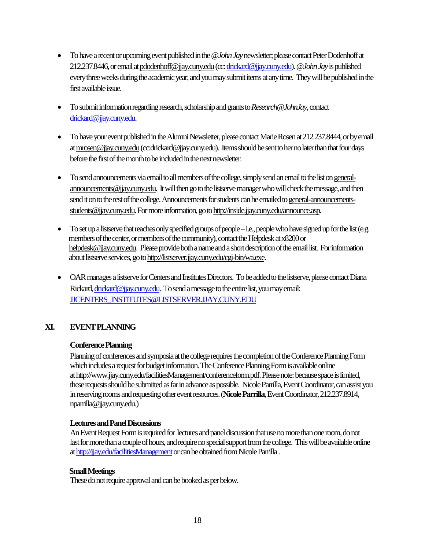- To have a recent or upcoming event published in the  $@John Jay$  newsletter; please contact Peter Dodenhoff at 212.237.8446, or email a[t pdodenhoff@jjay.cuny.edu](mailto:pdodenhoff@jjay.cuny.edu)(cc[: drickard@jjay.cuny.edu\)](mailto:drickard@jjay.cuny.edu). *@John Jay*is published every three weeks during the academic year, and you may submit items at any time. They will be published in the first available issue.
- To submit information regarding research, scholarship and grants to *Research@JohnJay*, contact [drickard@jjay.cuny.edu.](mailto:drickard@jjay.cuny.edu)
- To have your event published in the Alumni Newsletter, please contact Marie Rosen at 212.237.8444, or by email a[t mrosen@jjay.cuny.edu\(](mailto:mrosen@jjay.cuny.edu)cc:drickard@jjay.cuny.edu). Items should be sent to her no later than that four days before the first of the month to be included in the next newsletter.
- To send announcements via email to all members of the college, simply send an email to the list o[n general](mailto:general-announcements@jjay.cuny.edu)[announcements@jjay.cuny.edu.](mailto:general-announcements@jjay.cuny.edu) It will then go to the listserve manager who will check the message, and then send it on to the rest of the college. Announcements for students can be emailed t[o general-announcements](mailto:general-announcements-students@jjay.cuny.edu)[students@jjay.cuny.edu.](mailto:general-announcements-students@jjay.cuny.edu) For more information, go t[o http://inside.jjay.cuny.edu/announce.asp.](http://inside.jjay.cuny.edu/announce.asp)
- To set up a listserve that reaches only specified groups of people i.e., people who have signed up for the list (e.g. members of the center, or members of the community), contact the Helpdesk at x8200 or [helpdesk@jjay.cuny.edu.](mailto:helpdesk@jjay.cuny.edu) Please provide both a name and a short description of the email list. For information about listserve services, go t[o http://listserver.jjay.cuny.edu/cgi-bin/wa.exe.](http://listserver.jjay.cuny.edu/cgi-bin/wa.exe)
- OAR manages a listserve for Centers and Institutes Directors. To be added to the listserve, please contact Diana Rickard[, drickard@jjay.cuny.edu.](mailto:drickard@jjay.cuny.edu) To send a message to the entire list, you may email: JJCENTERS**\_**[INSTITUTES@LISTSERVER.JJAY.CUNY.EDU](mailto:JJCENTERS_INSTITUTES@LISTSERVER.JJAY.CUNY.EDU)

# **XI. EVENT PLANNING**

#### **Conference Planning**

Planning of conferences and symposia at the college requires the completion of the Conference Planning Form which includes a request for budget information. The Conference Planning Form is available online at http://www.jjay.cuny.edu/facilitiesManagement/conferenceform.pdf.Please note: because space is limited, these requests should be submitted as far in advance as possible. Nicole Parrilla, Event Coordinator, can assist you in reserving rooms and requesting other event resources.(**Nicole Parrilla**, Event Coordinator, 212.237.8914, nparrilla@jjay.cuny.edu.)

#### **Lectures and Panel Discussions**

An Event Request Form is required for lectures and panel discussion that use no more than one room, do not last for more than a couple of hours, andrequire nospecial support from the college. This will be available online at http://jjay.edu/facilitiesManagement or can be obtained from Nicole Parrilla.

#### **SmallMeetings**

These do not require approval and can be booked as per below.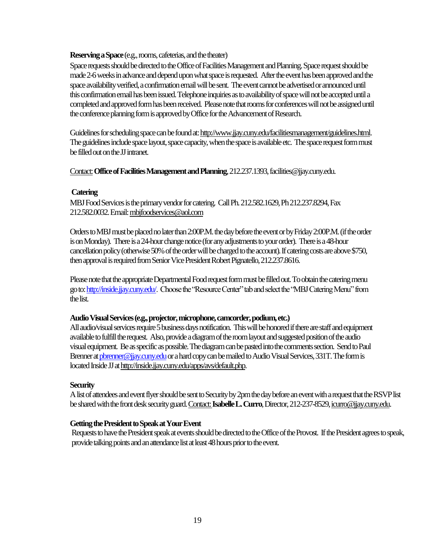#### **Reserving a Space**(e.g., rooms, cafeterias, and the theater)

Space requests should be directed to the Office of Facilities Management and Planning.Space request should be made 2-6 weeks in advance and depend upon what space is requested. After the event has been approved and the space availability verified, a confirmation email will be sent. The event cannot be advertised or announced until this confirmation email has been issued. Telephone inquiries as to availability of space will not be accepted until a completed and approved form has been received. Please note that rooms for conferences will not be assigned until the conference planning form is approved by Office for the Advancement of Research.

Guidelines for scheduling space can be found at[: http://www.jjay.cuny.edu/facilitiesmanagement/guidelines.html.](http://www.jjay.cuny.edu/facilitiesmanagement/guidelines.html) The guidelines include space layout, space capacity, when the space is available etc. The space request form must be filled out on the JJ intranet.

Contact:**Office of Facilities Management and Planning**, 212.237.1393, facilities@jjay.cuny.edu.

#### **Catering**

MBJ Food Services is the primary vendor for catering. Call Ph. 212.582.1629, Ph 212.237.8294, Fax 212.582.0032. Email[: mbjfoodservices@aol.com](mailto:mbjfoodservices@aol.com) 

Orders to MBJ must be placed no later than 2:00P.M. the day before the event or by Friday 2:00P.M. (if the order is on Monday). There is a 24-hour change notice (for any adjustments to your order). There is a 48-hour cancellation policy (otherwise 50% of the order will be charged to the account). If catering costs are above \$750, then approval is required from Senior Vice President Robert Pignatello, 212.237.8616.

Please note that the appropriate Departmental Food request form must be filled out. To obtain the catering menu go to[: http://inside.jjay.cuny.edu/.](http://inside.jjay.cuny.edu/) Choose the "Resource Center" tab and select the "MBJ Catering Menu" from the list.

#### **Audio Visual Services (e.g., projector, microphone, camcorder, podium, etc.)**

All audio/visual services require 5 business daysnotification. This will be honored if there are staff and equipment available to fulfill the request. Also, provide a diagram of the room layout and suggested position of the audio visual equipment. Be as specific as possible. The diagram can be pastedinto the comments section. Send to Paul Brenner at pbrenner@jjay.cuny.edu or a hard copy can be mailed to Audio Visual Services, 331T. The form is located Inside JJ a[t http://inside.jjay.cuny.edu/apps/avs/default.php.](http://inside.jjay.cuny.edu/apps/avs/default.php)

#### **Security**

A list of attendees and event flyer should be sent to Security by 2pm the day before an event with a request that the RSVP list be shared with the front desk security guard. Contact: **Isabelle L. Curro**, Director, 212-237-8529, icurro@jjay.cuny.edu.

#### **Getting the President to Speak at Your Event**

Requests to have the President speak at events should be directed to the Office of the Provost. If the President agrees to speak, provide talking points and an attendance list at least 48 hours prior to the event.